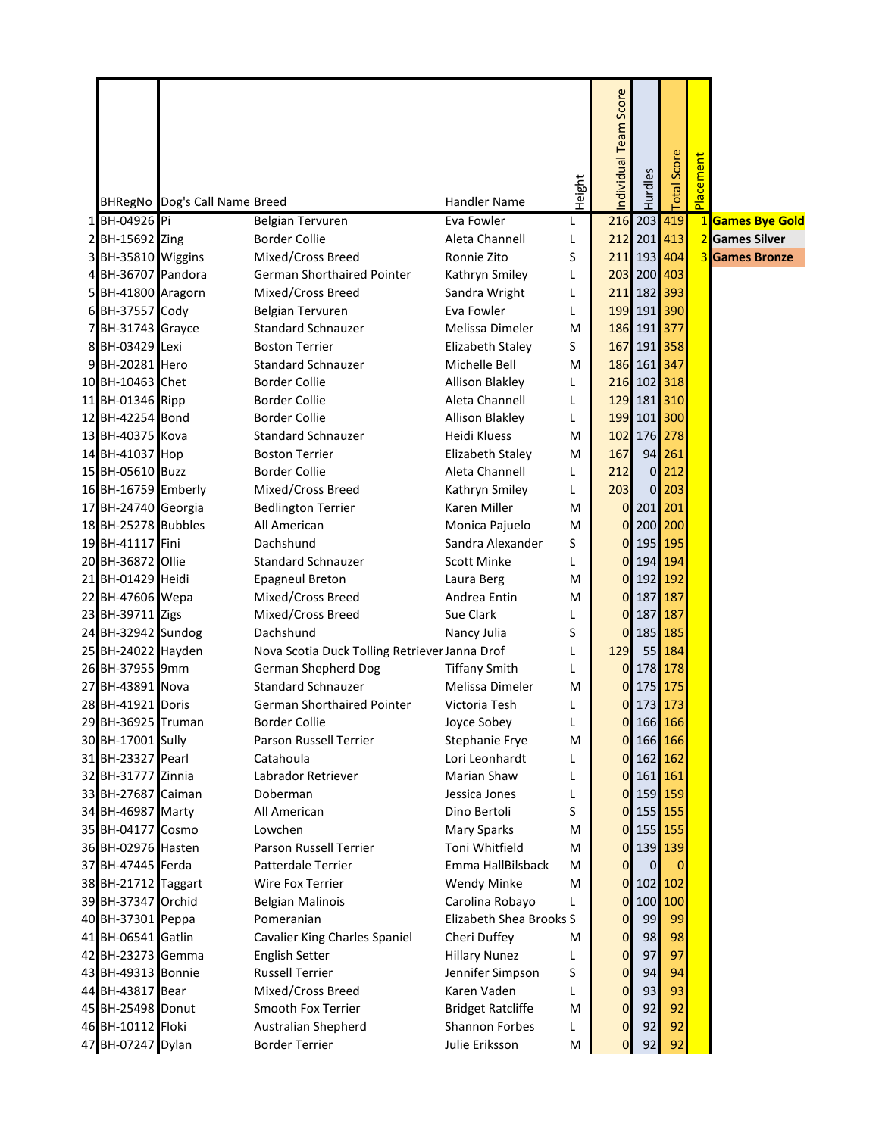|                                          | BHRegNo Dog's Call Name Breed |                                                        | <b>Handler Name</b>                      | Height | ndividual Team Score       | Hurdles                    | Score<br>$\overline{\text{lat}}$ | Placement |                                         |
|------------------------------------------|-------------------------------|--------------------------------------------------------|------------------------------------------|--------|----------------------------|----------------------------|----------------------------------|-----------|-----------------------------------------|
|                                          |                               |                                                        |                                          |        |                            |                            |                                  |           |                                         |
| 1 BH-04926 Pi                            |                               | <b>Belgian Tervuren</b>                                | Eva Fowler                               | L      |                            | 216 203 419                |                                  |           | 1 Games Bye Gold                        |
| 2 BH-15692 Zing                          |                               | <b>Border Collie</b>                                   | Aleta Channell                           | L      |                            | 212 201 413                |                                  |           | 2 Games Silver<br><b>3</b> Games Bronze |
| 3 BH-35810 Wiggins                       |                               | Mixed/Cross Breed                                      | Ronnie Zito                              | S      |                            | 211 193 404                |                                  |           |                                         |
| 4 BH-36707 Pandora<br>5 BH-41800 Aragorn |                               | <b>German Shorthaired Pointer</b><br>Mixed/Cross Breed | Kathryn Smiley<br>Sandra Wright          | L      |                            | 203 200 403<br>211 182 393 |                                  |           |                                         |
| 6 BH-37557 Cody                          |                               | <b>Belgian Tervuren</b>                                | Eva Fowler                               | L<br>L |                            | 199 191 390                |                                  |           |                                         |
| 7 BH-31743 Grayce                        |                               | <b>Standard Schnauzer</b>                              | Melissa Dimeler                          | M      |                            | 186 191 377                |                                  |           |                                         |
| 8 BH-03429 Lexi                          |                               | <b>Boston Terrier</b>                                  | Elizabeth Staley                         | S      |                            | 167 191 358                |                                  |           |                                         |
| 9 BH-20281 Hero                          |                               | <b>Standard Schnauzer</b>                              | Michelle Bell                            | M      |                            | 186 161 347                |                                  |           |                                         |
| 10 BH-10463 Chet                         |                               | <b>Border Collie</b>                                   | <b>Allison Blakley</b>                   | L      |                            | 216 102 318                |                                  |           |                                         |
| 11 BH-01346 Ripp                         |                               | <b>Border Collie</b>                                   | Aleta Channell                           | L      |                            | 129 181 310                |                                  |           |                                         |
| 12 BH-42254 Bond                         |                               | <b>Border Collie</b>                                   | <b>Allison Blakley</b>                   | L      |                            | 199 101 300                |                                  |           |                                         |
| 13 BH-40375 Kova                         |                               | <b>Standard Schnauzer</b>                              | Heidi Kluess                             | М      |                            | 102 176 278                |                                  |           |                                         |
| 14 BH-41037 Hop                          |                               | <b>Boston Terrier</b>                                  | Elizabeth Staley                         | М      | 167                        |                            | 94 261                           |           |                                         |
| 15 BH-05610 Buzz                         |                               | <b>Border Collie</b>                                   | Aleta Channell                           | L      | 212                        |                            | $0$   212                        |           |                                         |
| 16 BH-16759 Emberly                      |                               | Mixed/Cross Breed                                      | Kathryn Smiley                           | L      | 203                        |                            | $0$   203                        |           |                                         |
| 17 BH-24740 Georgia                      |                               | <b>Bedlington Terrier</b>                              | <b>Karen Miller</b>                      | M      |                            | 0 201 201                  |                                  |           |                                         |
| 18 BH-25278 Bubbles                      |                               | All American                                           | Monica Pajuelo                           | M      | 01                         | 200 200                    |                                  |           |                                         |
| 19 BH-41117 Fini                         |                               | Dachshund                                              | Sandra Alexander                         | S      | 0                          | 195 195                    |                                  |           |                                         |
| 20 BH-36872 Ollie                        |                               | <b>Standard Schnauzer</b>                              | <b>Scott Minke</b>                       | L      | 0                          | 194 194                    |                                  |           |                                         |
| 21 BH-01429 Heidi                        |                               | <b>Epagneul Breton</b>                                 | Laura Berg                               | м      |                            | 0 192 192                  |                                  |           |                                         |
| 22 BH-47606 Wepa                         |                               | Mixed/Cross Breed                                      | Andrea Entin                             | M      |                            | 0 187 187                  |                                  |           |                                         |
| 23 BH-39711 Zigs                         |                               | Mixed/Cross Breed                                      | Sue Clark                                | L      | 0                          | 187 187                    |                                  |           |                                         |
| 24 BH-32942 Sundog                       |                               | Dachshund                                              | Nancy Julia                              | S      | 0                          | 185 185                    |                                  |           |                                         |
| 25 BH-24022 Hayden                       |                               | Nova Scotia Duck Tolling Retriever Janna Drof          |                                          | L      | 129                        |                            | 55 184                           |           |                                         |
| 26 BH-37955 9mm                          |                               | German Shepherd Dog                                    | <b>Tiffany Smith</b>                     | L      |                            | 0 178 178                  |                                  |           |                                         |
| 27 BH-43891 Nova                         |                               | <b>Standard Schnauzer</b>                              | Melissa Dimeler                          | M      |                            | 0 175 175                  |                                  |           |                                         |
| 28 BH-41921 Doris                        |                               | German Shorthaired Pointer                             | Victoria Tesh                            | L      | 01                         | 173 173                    |                                  |           |                                         |
| 29 BH-36925 Truman                       |                               | <b>Border Collie</b>                                   | Joyce Sobey                              | L      |                            | 0 166 166                  |                                  |           |                                         |
| 30 BH-17001 Sully                        |                               | Parson Russell Terrier                                 | Stephanie Frye                           | M      |                            | 0 166 166                  |                                  |           |                                         |
| 31 BH-23327 Pearl                        |                               | Catahoula                                              | Lori Leonhardt                           | L      | 0                          | 162 162                    |                                  |           |                                         |
| 32 BH-31777 Zinnia                       |                               | Labrador Retriever                                     | Marian Shaw                              | L      | 0                          | 161 161                    |                                  |           |                                         |
| 33 BH-27687 Caiman                       |                               | Doberman                                               | Jessica Jones                            | L      |                            | 0 159 159                  |                                  |           |                                         |
| 34 BH-46987 Marty                        |                               | All American                                           | Dino Bertoli                             | S      |                            | 0 155 155                  |                                  |           |                                         |
| 35 BH-04177 Cosmo                        |                               | Lowchen                                                | Mary Sparks                              | М      |                            | 0 155 155                  |                                  |           |                                         |
| 36 BH-02976 Hasten                       |                               | Parson Russell Terrier                                 | Toni Whitfield                           | М      | $\overline{O}$             | 139 139                    |                                  |           |                                         |
| 37 BH-47445 Ferda                        |                               | <b>Patterdale Terrier</b>                              | Emma HallBilsback                        | М      | $\overline{0}$             | $\overline{0}$             |                                  |           |                                         |
| 38 BH-21712 Taggart                      |                               | Wire Fox Terrier                                       | <b>Wendy Minke</b>                       | М      |                            | $0$ 102 102                |                                  |           |                                         |
| 39 BH-37347 Orchid                       |                               | <b>Belgian Malinois</b>                                | Carolina Robayo                          | L      |                            | 0 100 100                  |                                  |           |                                         |
| 40 BH-37301 Peppa                        |                               | Pomeranian                                             | Elizabeth Shea Brooks S                  |        | $\overline{0}$             | 99                         | 99                               |           |                                         |
| 41 BH-06541 Gatlin                       |                               | <b>Cavalier King Charles Spaniel</b>                   | Cheri Duffey                             | M      | $\overline{0}$             | 98                         | 98<br>97                         |           |                                         |
| 42 BH-23273 Gemma<br>43 BH-49313 Bonnie  |                               | English Setter<br><b>Russell Terrier</b>               | <b>Hillary Nunez</b><br>Jennifer Simpson | L<br>S | $\mathbf 0$<br>$\mathbf 0$ | 97<br>94                   | 94                               |           |                                         |
| 44 BH-43817 Bear                         |                               | Mixed/Cross Breed                                      | Karen Vaden                              | L      | $\mathbf 0$                | 93                         | 93                               |           |                                         |
| 45 BH-25498 Donut                        |                               | Smooth Fox Terrier                                     | <b>Bridget Ratcliffe</b>                 | M      | $\mathbf 0$                | 92                         | 92                               |           |                                         |
| 46 BH-10112 Floki                        |                               | Australian Shepherd                                    | <b>Shannon Forbes</b>                    | L      | $\mathbf 0$                | 92                         | 92                               |           |                                         |
| 47 BH-07247 Dylan                        |                               | <b>Border Terrier</b>                                  | Julie Eriksson                           | M      | $\mathbf{O}$               | 92                         | 92                               |           |                                         |
|                                          |                               |                                                        |                                          |        |                            |                            |                                  |           |                                         |